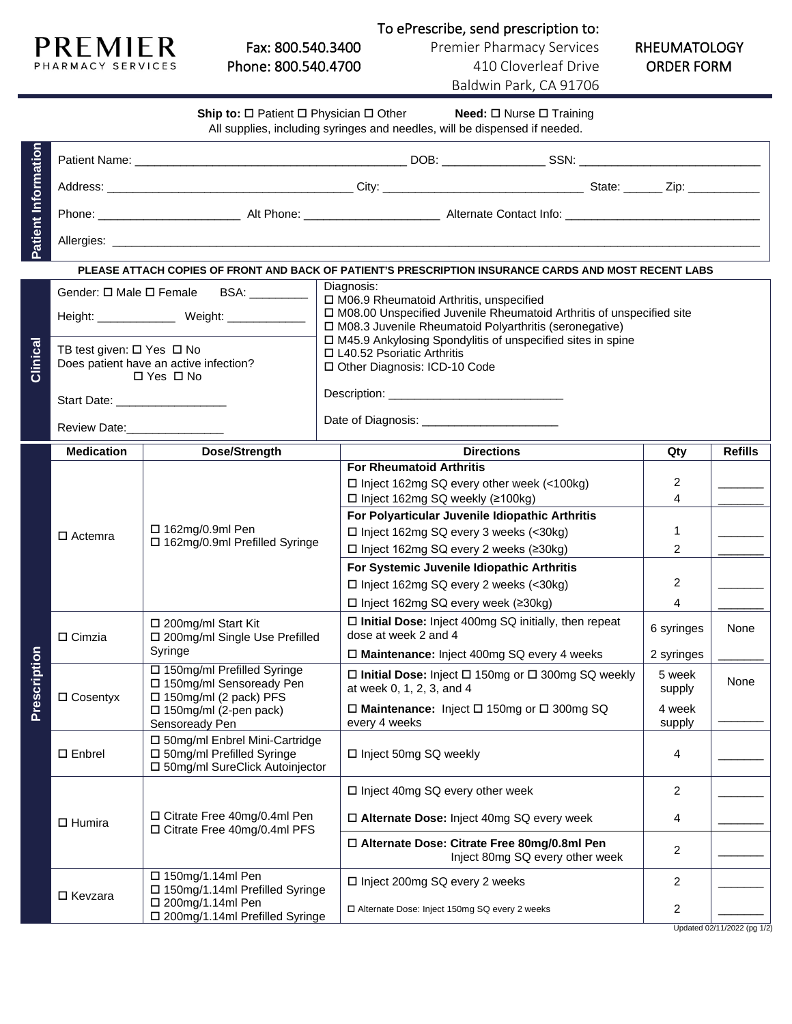### **PREMIER** PHARMACY SERVICES

# Fax: 800.540.3400 Phone: 800.540.4700

#### To ePrescribe, send prescription to:

Premier Pharmacy Services 410 Cloverleaf Drive Baldwin Park, CA 91706

### RHEUMATOLOGY ORDER FORM

| <b>Ship to:</b> $\Box$ Patient $\Box$ Physician $\Box$ Other<br><b>Need:</b> $\Box$ Nurse $\Box$ Training<br>All supplies, including syringes and needles, will be dispensed if needed. |                                                                                                                                                           |                                                                                                                  |  |                                                                                                                                                                                                                                |                  |                |  |  |  |  |
|-----------------------------------------------------------------------------------------------------------------------------------------------------------------------------------------|-----------------------------------------------------------------------------------------------------------------------------------------------------------|------------------------------------------------------------------------------------------------------------------|--|--------------------------------------------------------------------------------------------------------------------------------------------------------------------------------------------------------------------------------|------------------|----------------|--|--|--|--|
|                                                                                                                                                                                         |                                                                                                                                                           |                                                                                                                  |  |                                                                                                                                                                                                                                |                  |                |  |  |  |  |
| Patient Information                                                                                                                                                                     |                                                                                                                                                           |                                                                                                                  |  |                                                                                                                                                                                                                                |                  |                |  |  |  |  |
|                                                                                                                                                                                         |                                                                                                                                                           |                                                                                                                  |  |                                                                                                                                                                                                                                |                  |                |  |  |  |  |
|                                                                                                                                                                                         |                                                                                                                                                           |                                                                                                                  |  |                                                                                                                                                                                                                                |                  |                |  |  |  |  |
|                                                                                                                                                                                         | PLEASE ATTACH COPIES OF FRONT AND BACK OF PATIENT'S PRESCRIPTION INSURANCE CARDS AND MOST RECENT LABS                                                     |                                                                                                                  |  |                                                                                                                                                                                                                                |                  |                |  |  |  |  |
| Clinical                                                                                                                                                                                | Gender: $\square$ Male $\square$ Female BSA: _________<br>Height: _________________ Weight: ______________                                                |                                                                                                                  |  | Diagnosis:<br>□ M06.9 Rheumatoid Arthritis, unspecified<br>□ M08.00 Unspecified Juvenile Rheumatoid Arthritis of unspecified site<br>□ M08.3 Juvenile Rheumatoid Polyarthritis (seronegative)                                  |                  |                |  |  |  |  |
|                                                                                                                                                                                         | TB test given: □ Yes □ No<br>Does patient have an active infection?<br>□ Yes □ No                                                                         |                                                                                                                  |  | □ M45.9 Ankylosing Spondylitis of unspecified sites in spine<br>□ L40.52 Psoriatic Arthritis<br>□ Other Diagnosis: ICD-10 Code                                                                                                 |                  |                |  |  |  |  |
|                                                                                                                                                                                         | Start Date: ____________________                                                                                                                          |                                                                                                                  |  | Description: Network and the state of the state of the state of the state of the state of the state of the state of the state of the state of the state of the state of the state of the state of the state of the state of th |                  |                |  |  |  |  |
|                                                                                                                                                                                         | Review Date: 2000                                                                                                                                         |                                                                                                                  |  | Date of Diagnosis: Date of Diagnosis:                                                                                                                                                                                          |                  |                |  |  |  |  |
|                                                                                                                                                                                         | <b>Medication</b>                                                                                                                                         | Dose/Strength                                                                                                    |  | <b>Directions</b>                                                                                                                                                                                                              | Qty              | <b>Refills</b> |  |  |  |  |
|                                                                                                                                                                                         | $\Box$ Actemra                                                                                                                                            |                                                                                                                  |  | <b>For Rheumatoid Arthritis</b><br>□ Inject 162mg SQ every other week (<100kg)                                                                                                                                                 | 2                |                |  |  |  |  |
|                                                                                                                                                                                         |                                                                                                                                                           |                                                                                                                  |  | □ Inject 162mg SQ weekly (≥100kg)                                                                                                                                                                                              | 4                |                |  |  |  |  |
|                                                                                                                                                                                         |                                                                                                                                                           | $\Box$ 162mg/0.9ml Pen<br>□ 162mg/0.9ml Prefilled Syringe                                                        |  | For Polyarticular Juvenile Idiopathic Arthritis<br>□ Inject 162mg SQ every 3 weeks (<30kg)                                                                                                                                     | 1                |                |  |  |  |  |
|                                                                                                                                                                                         |                                                                                                                                                           |                                                                                                                  |  | □ Inject 162mg SQ every 2 weeks (≥30kg)                                                                                                                                                                                        | $\overline{2}$   |                |  |  |  |  |
|                                                                                                                                                                                         |                                                                                                                                                           |                                                                                                                  |  | For Systemic Juvenile Idiopathic Arthritis                                                                                                                                                                                     |                  |                |  |  |  |  |
|                                                                                                                                                                                         |                                                                                                                                                           |                                                                                                                  |  | □ Inject 162mg SQ every 2 weeks (<30kg)                                                                                                                                                                                        | $\overline{2}$   |                |  |  |  |  |
|                                                                                                                                                                                         |                                                                                                                                                           |                                                                                                                  |  | □ Inject 162mg SQ every week (≥30kg)                                                                                                                                                                                           | 4                |                |  |  |  |  |
| iption<br>Prescr                                                                                                                                                                        | □ Cimzia                                                                                                                                                  | □ 200mg/ml Start Kit<br>□ 200mg/ml Single Use Prefilled<br>Syringe                                               |  | $\square$ Initial Dose: Inject 400mg SQ initially, then repeat<br>dose at week 2 and 4                                                                                                                                         | 6 syringes       | None           |  |  |  |  |
|                                                                                                                                                                                         |                                                                                                                                                           |                                                                                                                  |  | □ Maintenance: Inject 400mg SQ every 4 weeks                                                                                                                                                                                   | 2 syringes       |                |  |  |  |  |
|                                                                                                                                                                                         | □ 150mg/ml Prefilled Syringe<br>□ 150mg/ml Sensoready Pen<br>□ Cosentyx<br>$\Box$ 150mg/ml (2 pack) PFS<br>$\Box$ 150mg/ml (2-pen pack)<br>Sensoready Pen |                                                                                                                  |  | □ Initial Dose: Inject □ 150mg or □ 300mg SQ weekly<br>at week 0, 1, 2, 3, and 4                                                                                                                                               | 5 week<br>supply | None           |  |  |  |  |
|                                                                                                                                                                                         |                                                                                                                                                           |                                                                                                                  |  | $\Box$ Maintenance: Inject $\Box$ 150mg or $\Box$ 300mg SQ<br>every 4 weeks                                                                                                                                                    | 4 week<br>supply |                |  |  |  |  |
|                                                                                                                                                                                         | $\square$ Enbrel                                                                                                                                          | □ 50mg/ml Enbrel Mini-Cartridge<br>□ 50mg/ml Prefilled Syringe<br>□ 50mg/ml SureClick Autoinjector               |  | □ Inject 50mg SQ weekly                                                                                                                                                                                                        | 4                |                |  |  |  |  |
|                                                                                                                                                                                         | $\Box$ Humira                                                                                                                                             | $\Box$ Citrate Free 40mg/0.4ml Pen<br>□ Citrate Free 40mg/0.4ml PFS                                              |  | $\Box$ Inject 40mg SQ every other week                                                                                                                                                                                         | $\overline{2}$   |                |  |  |  |  |
|                                                                                                                                                                                         |                                                                                                                                                           |                                                                                                                  |  | □ Alternate Dose: Inject 40mg SQ every week                                                                                                                                                                                    | 4                |                |  |  |  |  |
|                                                                                                                                                                                         |                                                                                                                                                           |                                                                                                                  |  | □ Alternate Dose: Citrate Free 80mg/0.8ml Pen<br>Inject 80mg SQ every other week                                                                                                                                               | 2                |                |  |  |  |  |
|                                                                                                                                                                                         |                                                                                                                                                           | □ 150mg/1.14ml Pen<br>□ 150mg/1.14ml Prefilled Syringe<br>□ 200mg/1.14ml Pen<br>□ 200mg/1.14ml Prefilled Syringe |  | □ Inject 200mg SQ every 2 weeks                                                                                                                                                                                                | 2                |                |  |  |  |  |
|                                                                                                                                                                                         | □ Kevzara                                                                                                                                                 |                                                                                                                  |  | □ Alternate Dose: Inject 150mg SQ every 2 weeks                                                                                                                                                                                | 2                |                |  |  |  |  |

Updated 02/11/2022 (pg 1/2)